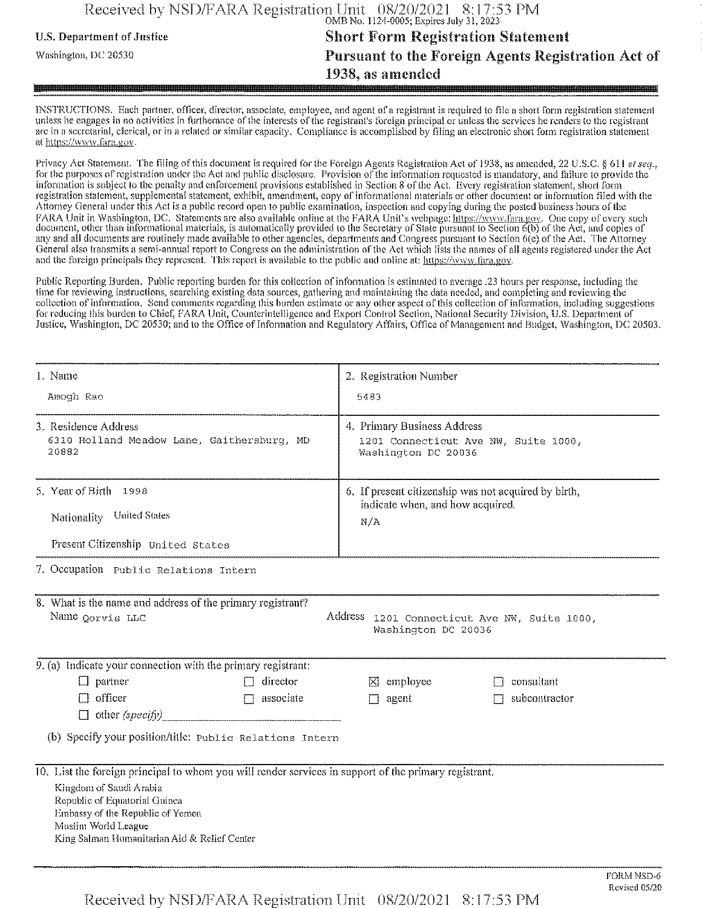## Received **bv NSD/FARA** Registration **Unit** 08/20/2021 8:17:53 PM OMB No. 1124-0005; Expires July 31,2023

## **u.s.** Department ofJustice **Short Form** Registration Statement **Washington, i)c <sup>20530</sup> Pursuant to the Foreign Agents Registration Act of 1938, as amended**

INSTRUCTIONS. Each partner, officer, director, associate, employee, and agent of a registrant is required to file a short form registration statement unless he engages in no activities in furtherance of the interests of the registrant's foreign principal or unless the services he renders to the registrant are in a secretarial, clerical, or in a related or similar capacity. Compliance is accomplished by filing an electronic short form registration statement at https://wivvv.fara.gov.

Privacy Act Statement. The filing of this document is required for the Foreign Agents Registration Act of 1938, as amended, 22 U.S.C. § 611 et seq., for the purposes of registration under the Act and public disclosure. Provision of the information requested is mandatory, and failure to provide the information is subject to the penalty and enforcement provisions established in Section 8 ofthe Act. Every registration statement, short form registration statement, supplemental statement, exhibit, amendment, copy of informational materials or other document or information filed with the Attorney General under this Act is a public record open to public examination, inspection and copying during the posted business hours ofthe FARA Unit in Washington, DC. Statements are also available online at the FARA Unit's webpage: https://www.fara.gov. One copy of every such document, other than informational materials, is automatically provided to the Secretary of State pursuant to Section 6(b) of the Act, and copies of any and all documents are routinely made available to other agencies, departments and Congress pursuant to Section 6(c) of the Act. The Attorney General also transmits a semi-annual report to Congress on the administration ofthe Act which lists the names of all agents registered under the Act and the foreign principals they represent. This report is available to the public and online at: https://www.fara.gov.

Public Reporting Burden. Public reporting burden for this collection ofinformation is estimated to average .23 hours per response, including the time for reviewing instructions, searching existing data sources, gathering and maintaining the data needed, and completing and reviewing the collection of information. Send comments regarding this burden estimate or any other aspect of this collection of information, including suggestions for reducing this burden to Chief, FARA Unit, Counterintelligence and Export Control Section, National Security Division, U.S. Department of Justice, Washington, DC 20530; and to the Office of Information and Regulatory Affairs, Office of Management and Budget, Washington, DC 20503,

| 1. Name                                                                                  |                                                                                                                                                                                                                                                                              |                      | 2. Registration Number<br>5483                                                             |            |  |  |
|------------------------------------------------------------------------------------------|------------------------------------------------------------------------------------------------------------------------------------------------------------------------------------------------------------------------------------------------------------------------------|----------------------|--------------------------------------------------------------------------------------------|------------|--|--|
| Amogh Rao                                                                                |                                                                                                                                                                                                                                                                              |                      |                                                                                            |            |  |  |
| 3. Residence Address<br>20882                                                            | 6310 Holland Meadow Lane, Gaithersburg, MD                                                                                                                                                                                                                                   |                      | 4. Primary Business Address<br>1201 Connecticut Ave NW, Suite 1000,<br>Washington DC 20036 |            |  |  |
|                                                                                          | 5. Year of Birth 1998                                                                                                                                                                                                                                                        |                      | 6. If present citizenship was not acquired by birth,                                       |            |  |  |
| Nationality                                                                              | <b>United States</b>                                                                                                                                                                                                                                                         | N/A                  | indicate when, and how acquired.                                                           |            |  |  |
|                                                                                          | Present Citizenship United States                                                                                                                                                                                                                                            |                      |                                                                                            |            |  |  |
|                                                                                          | 7. Occupation Public Relations Intern                                                                                                                                                                                                                                        |                      |                                                                                            |            |  |  |
| 8. What is the name and address of the primary registrant?<br>Name <sub>Oorvis</sub> LLC | Address 1201 Connecticut Ave NW, Suite 1000,<br>Washington DC 20036                                                                                                                                                                                                          |                      |                                                                                            |            |  |  |
|                                                                                          | 9. (a) Indicate your connection with the primary registrant:                                                                                                                                                                                                                 |                      |                                                                                            |            |  |  |
|                                                                                          | $\Box$ partner<br>director                                                                                                                                                                                                                                                   | $\boxtimes$ employee | consultant                                                                                 |            |  |  |
| $\Box$ officer<br>$\Box$ associate<br>$\Box$ other (specify)                             |                                                                                                                                                                                                                                                                              | agent<br>П           | subcontractor                                                                              |            |  |  |
|                                                                                          | (b) Specify your position/title: Public Relations Intern                                                                                                                                                                                                                     |                      |                                                                                            |            |  |  |
|                                                                                          | 10. List the foreign principal to whom you will render services in support of the primary registrant.<br>Kingdom of Saudi Arabia<br>Republic of Equatorial Guinea<br>Embassy of the Republic of Yemen<br>Muslim World League<br>King Salman Humanitarian Aid & Relief Center |                      |                                                                                            |            |  |  |
|                                                                                          |                                                                                                                                                                                                                                                                              |                      |                                                                                            | FORM NSD-6 |  |  |

Received by NSD/FARA Registration **Unit** 08/20/2021 8:17:53 PM

Revised 05/20